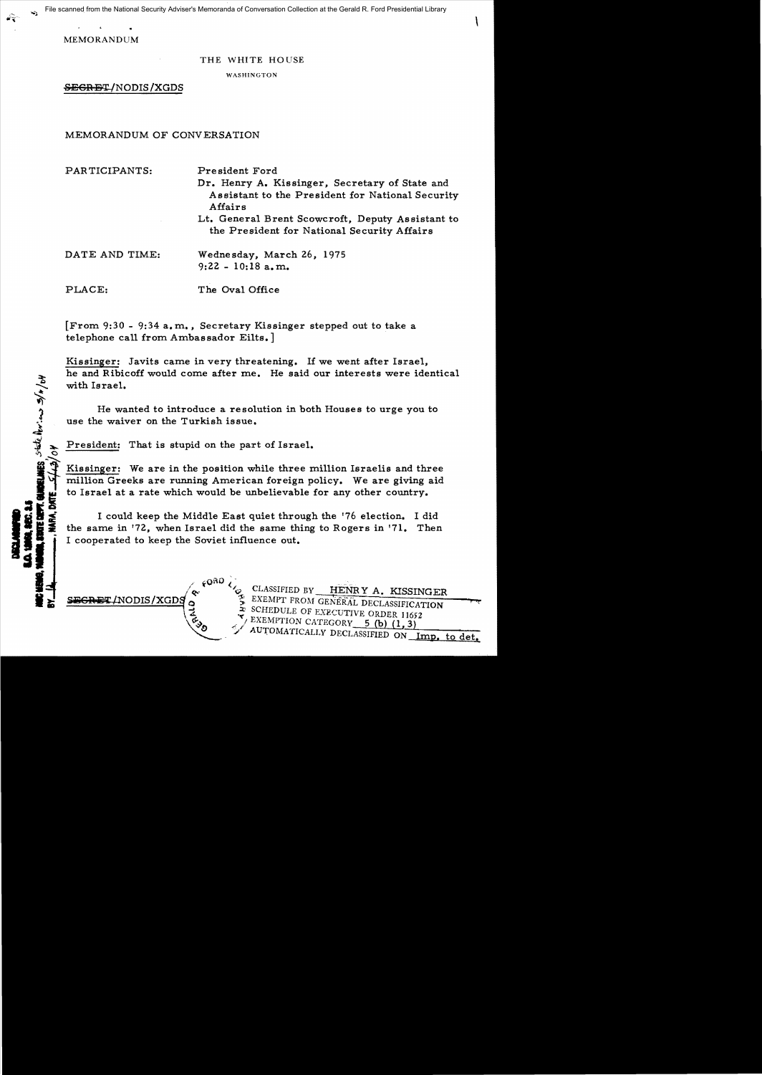File scanned from the National Security Adviser's Memoranda of Conversation Collection at the Gerald R. Ford Presidential Library

MEMORANDUM

## THE WHITE HOUSE

WASHINGTON

SEGRET/NODIS/XGDS

MEMORANDUM OF CONVERSATION

PARTICIPANTS: President Ford

- Dr. Henry A. Kissinger, Secretary of State and Assistant to the President for National Security Affairs
- Lt. General Brent Scowcroft, Deputy Assistant to the President for National Security Affairs

HES state horing s/x/of

DATE AND TIME: Wednesday, March 26, 1975  $9: 22 - 10: 18$  a.m.

PLACE: The Oval Office

[From 9:30 - 9:34 a. m., Secretary Kissinger stepped out to take a telephone call from Ambassador Eilts.]

Kissinger: Javits came in very threatening. If we went after Israel, he and Ribicoff would come after me. He said our interests were identical with Israel.

He wanted to introduce a resolution in both Houses to urge you to use the waiver on the Turkish issue.

President: That is stupid on the part of Israel.

 $60R0$ 

Kissinger: We are in the position while three million Israelis and three million Greeks are running American foreign policy. We are giving aid to Israel at a rate which would be unbelievable for any other country.

I could keep the Middle East quiet through the '76 election. I did the same in '72, when Israel did the same thing to Rogers in '71. Then I cooperated to keep the Soviet influence out.

CLASSIFIED BY HENRY A. KISSINGER  $S = S + S + I$ NODIS/XGD $S$   $S = S$  EXEMPT FROM GENERAL DECLASSIFICATION SCHEDULE OF EXECUTIVE ORDER 11652<br>EXEMPTION CATEGORY 5 (b) (1, 3) EXEMPTION CATEGORY 5 (b) (1, 3) i) \_ -;, AUrOMATICALLY DECLASSIFIED ON Imp. to det.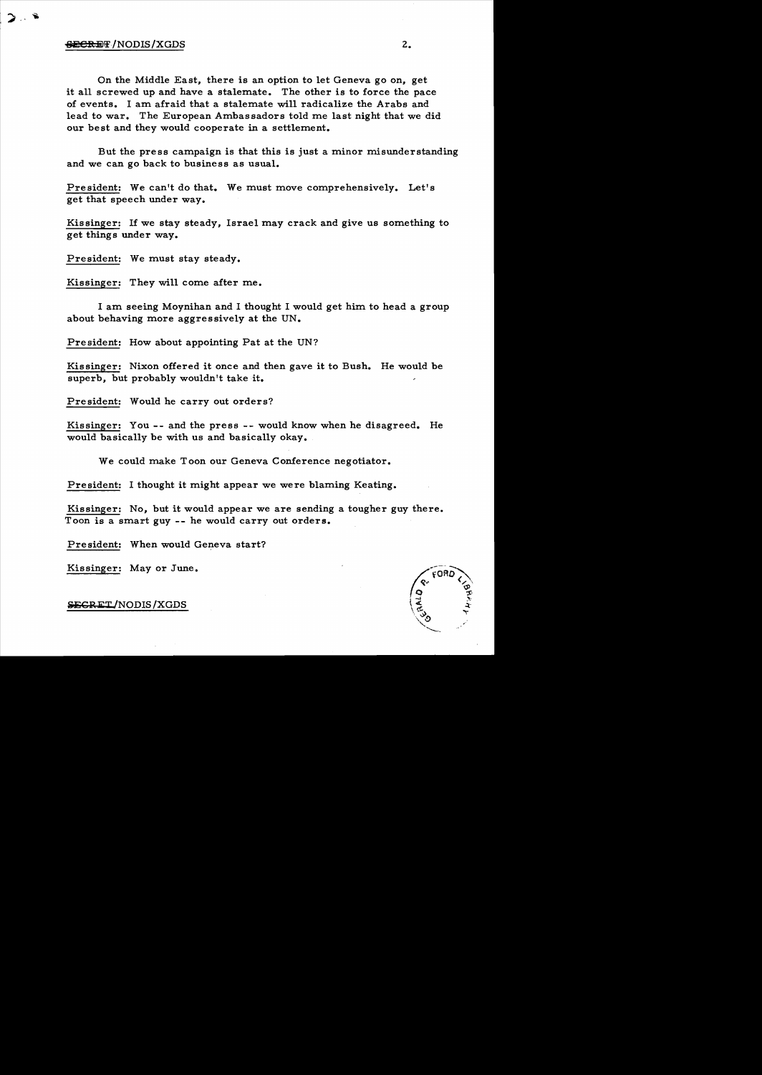## $e^{e}$  =  $e^{h}$  =  $e^{h}$  =  $e^{h}$  =  $e^{h}$  =  $e^{h}$  =  $e^{h}$  =  $e^{h}$  =  $e^{h}$  =  $e^{h}$  =  $e^{h}$  =  $e^{h}$  =  $e^{h}$  =  $e^{h}$  =  $e^{h}$  =  $e^{h}$  =  $e^{h}$  =  $e^{h}$  =  $e^{h}$  =  $e^{h}$  =  $e^{h}$  =  $e^{h}$  =  $e^{h}$  =  $e^{h}$  =  $e^{h}$

On the Middle East, there is an option to let Geneva go on, get it all screwed up and have a stalemate. The other is to force the pace of events. I am afraid that a stalemate will radicalize the Arabs and lead to war. The European Ambassadors told me last night that we did our best and they would cooperate in a settlement.

But the press campaign is that this is just a minor misunderstanding and we can go back to business as usual.

President: We can't do that. We must move comprehensively. Let's get that speech under way.

Kissinger: If we stay steady, Israel may crack and give us something to get things under way.

President: We must stay steady.

Kissinger: They will come after me.

I am. seeing Moynihan and I thought I would get him. to head a group about behaving more aggressively at the UN.

President: How about appointing Pat at the UN?

Kissinger: Nixon offered it once and then gave it to Bush. He would be superb, but probably wouldn't take it.

President: Would he carry out orders?

Kissinger: You -- and the press -- would know when he disagreed. He would basically be with us and basically okay.

We could make Toon our Geneva Conference negotiator.

President: I thought it might appear we were blaming Keating.

Kissinger: No, but it would appear we are sending a tougher guy there. Toon is a smart guy -- he would carry out orders.

President: When would Geneva start?

Kissinger: Mayor June.

**SECRET/NODIS/XGDS**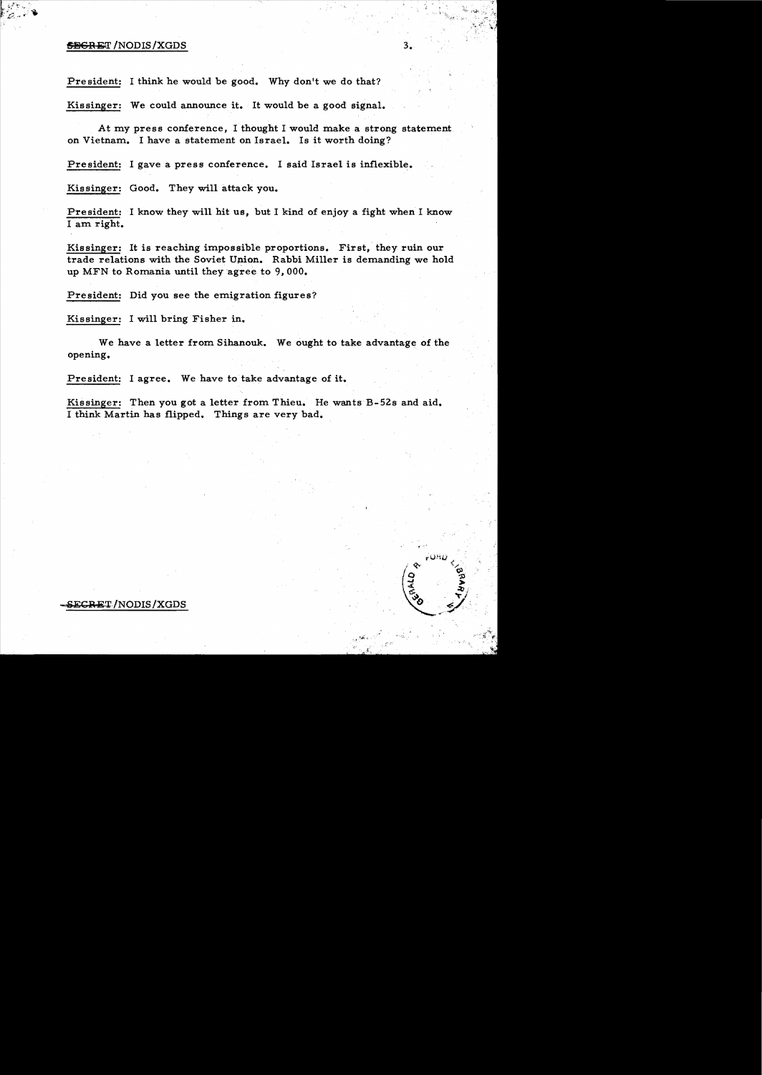## $\overline{\text{SBGR}}$  and  $\overline{\text{SDGR}}$  /NODIS/XGDS  $3.$

President: I think he would be good. Why don't we do that?

Kissinger: We could announce it. It would be a good signal.

At my press conference, I thought I would make a strong statement on Vietnam. I have a statement on Israel. Is it worth doing?

President: I gave a press conference. I said Israel is inflexible.

Kissinger: Good. They will attack you.

President: I know they will hit us, but I kind of enjoy a fight when I know I am right.

Kissinger: It is reaching impossible proportions. First, they ruin our trade relations with the Soviet Union. Rabbi Miller is demanding we hold up MFN to Romania until they agree to 9,000.

President: Did you see the emigration figures?

Kissinger: I will bring Fisher in.

We have a letter from Sihanouk. We ought to take advantage of the opening.

President: I agree. We have to take advantage of it.

Kissinger: Then you got a letter from Thieu. He wants B-52s and aid. I think Martin has flipped. Things are very bad.

SECRET/NODIS/XGDS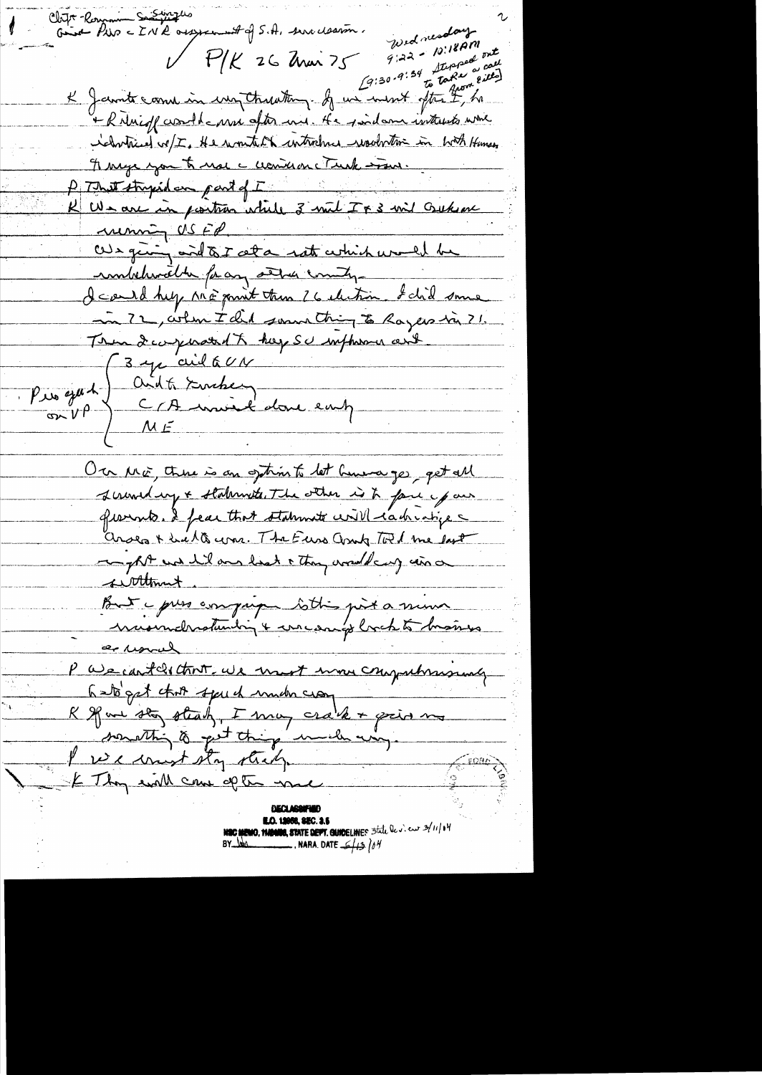Chift Romanic Substitutes<br>Grist Pier = IN R ousseaunt of S.A. serve clearan. Samples Wednesday  $9:22 - 10:18$  pm C9:30-9:34 Stepped call<br>C9:30-9:34 Stepped call<br>Comment offer from  $V$   $P/K$  26 Anon 75 K Jamite come in un Ctreating of un went often I, ha + R Nuigh crowld anne after une. He pointed interests which relatives we I the wonter interstance would the with Humes Frange you to not a consume Turk soon. P That stripsdan part of I<br>K We are in position while 3 wit I x 3 wit Gutson We giving and to I alla rate which would be imbelievable for any server county I cand help ME point then I 6 election. I did some in 72, when I did somme thing to Rayers in 71. Trundewyward & hope SU influence and (3 yr aid GUN On Mo, there is an sphink let human ges get all screwed up + stalennets. The other is to face your gravents. I fear that statements will cachiabics arses + hills was. The Euro and Told me lost mapple was hil and head a though around many wind suttlement But yours compagn tothis pit a minu a unal P We can teles that we must move computersmaly something to get thing would us, I receivent sty sticky **NEC MEWO, THENES, STATE DEFT. GUIDELINES** 5tile lev. eur 3/11/14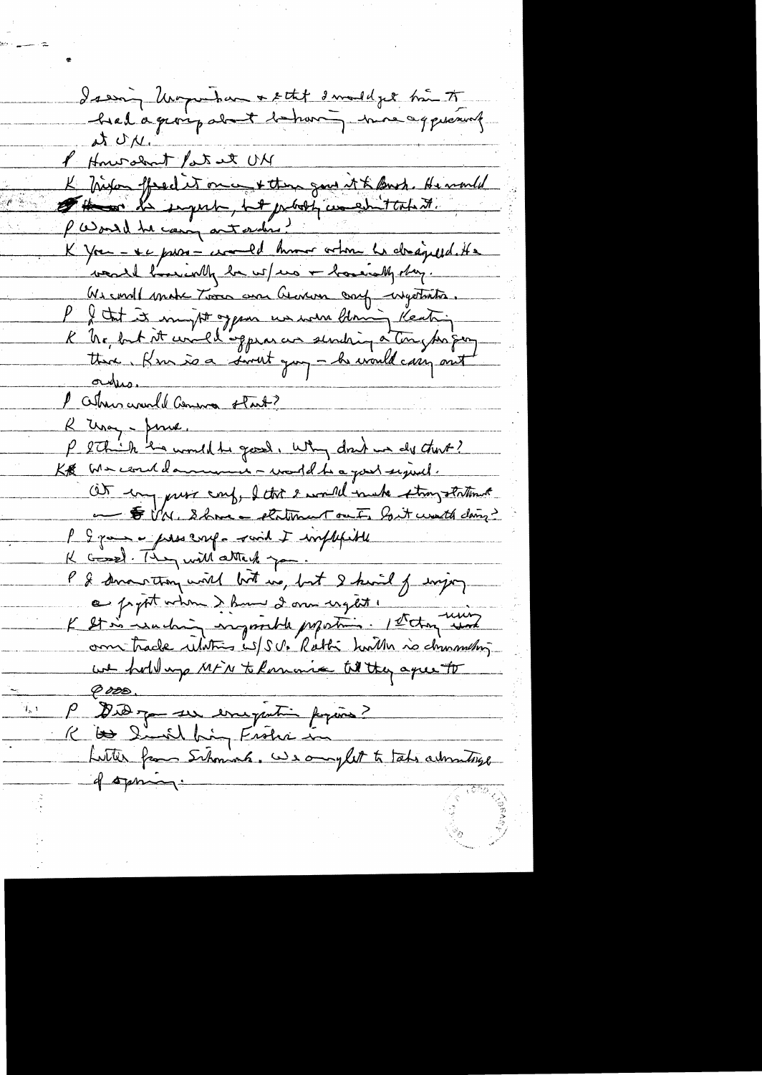Issing Unique have + ett I mail je hå to NUN. MU teste tomorrowth 1 K biefon ffredit on a + then gow it & Buch. He would Pasoul the compact order? K you - se pros- comed humor orton la dragued. He want l'accimaly be us/mo + houring day. Us const make Toon and Genever craf ingetants. I I tut it mught oppen us were blowing Keating K he but at unellingpear un sendaing à tour pas prothere. Kim is a sweet you - he would carry out orders. 1 Celhous council Comma start? R Usay - June. P Sthich ha would be good, why don't we do that? KB We couldanment - world to a good signal. Ot un puss conf, I that I would muke strongstational and to UN. Show a stationant out, but would doing? P & game - preservel - said I implifield K Gossel. They will attack you. P & smarting will but us, but I kind of enjoy a propt when & hum 2 am inget ! K st à Luchin imposible propostins. Petrog une om trade ulatin is/s v. Rathi hardh no diminution we hold up MFN to Romania til they agree to <u>G 028 </u> P Did jou un emigration figures? K to Simil hing Frohn in Lutter from Schoniah. We anyfult to take automatique of spring.